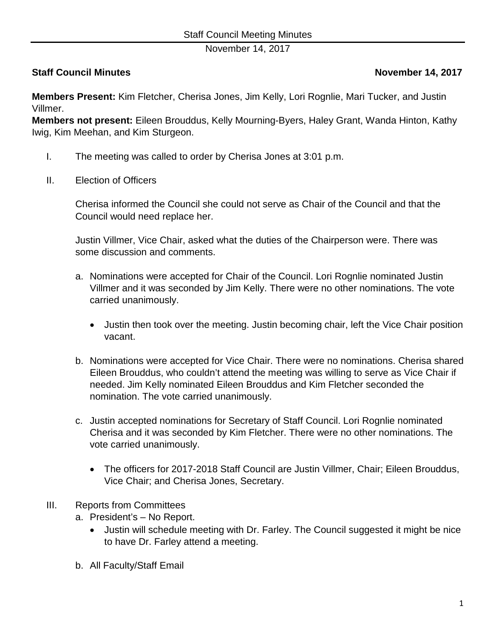November 14, 2017

## **Staff Council Minutes Council Minutes According to the Council Minutes According to the November 14, 2017**

**Members Present:** Kim Fletcher, Cherisa Jones, Jim Kelly, Lori Rognlie, Mari Tucker, and Justin Villmer.

**Members not present:** Eileen Brouddus, Kelly Mourning-Byers, Haley Grant, Wanda Hinton, Kathy Iwig, Kim Meehan, and Kim Sturgeon.

- I. The meeting was called to order by Cherisa Jones at 3:01 p.m.
- II. Election of Officers

Cherisa informed the Council she could not serve as Chair of the Council and that the Council would need replace her.

Justin Villmer, Vice Chair, asked what the duties of the Chairperson were. There was some discussion and comments.

- a. Nominations were accepted for Chair of the Council. Lori Rognlie nominated Justin Villmer and it was seconded by Jim Kelly. There were no other nominations. The vote carried unanimously.
	- Justin then took over the meeting. Justin becoming chair, left the Vice Chair position vacant.
- b. Nominations were accepted for Vice Chair. There were no nominations. Cherisa shared Eileen Brouddus, who couldn't attend the meeting was willing to serve as Vice Chair if needed. Jim Kelly nominated Eileen Brouddus and Kim Fletcher seconded the nomination. The vote carried unanimously.
- c. Justin accepted nominations for Secretary of Staff Council. Lori Rognlie nominated Cherisa and it was seconded by Kim Fletcher. There were no other nominations. The vote carried unanimously.
	- The officers for 2017-2018 Staff Council are Justin Villmer, Chair; Eileen Brouddus, Vice Chair; and Cherisa Jones, Secretary.
- III. Reports from Committees
	- a. President's No Report.
		- Justin will schedule meeting with Dr. Farley. The Council suggested it might be nice to have Dr. Farley attend a meeting.
	- b. All Faculty/Staff Email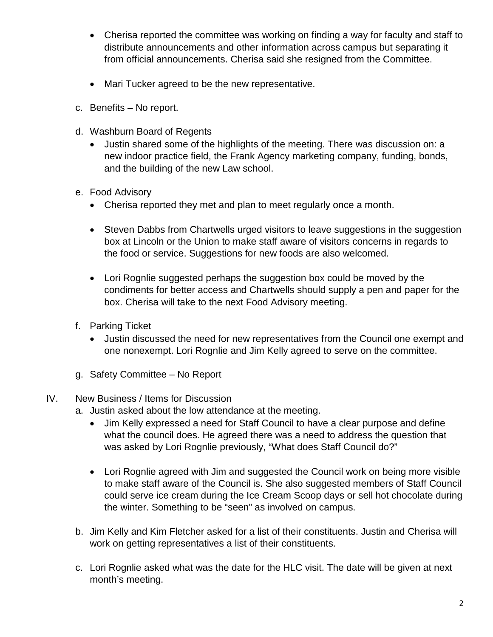- Cherisa reported the committee was working on finding a way for faculty and staff to distribute announcements and other information across campus but separating it from official announcements. Cherisa said she resigned from the Committee.
- Mari Tucker agreed to be the new representative.
- c. Benefits No report.
- d. Washburn Board of Regents
	- Justin shared some of the highlights of the meeting. There was discussion on: a new indoor practice field, the Frank Agency marketing company, funding, bonds, and the building of the new Law school.
- e. Food Advisory
	- Cherisa reported they met and plan to meet regularly once a month.
	- Steven Dabbs from Chartwells urged visitors to leave suggestions in the suggestion box at Lincoln or the Union to make staff aware of visitors concerns in regards to the food or service. Suggestions for new foods are also welcomed.
	- Lori Rognlie suggested perhaps the suggestion box could be moved by the condiments for better access and Chartwells should supply a pen and paper for the box. Cherisa will take to the next Food Advisory meeting.
- f. Parking Ticket
	- Justin discussed the need for new representatives from the Council one exempt and one nonexempt. Lori Rognlie and Jim Kelly agreed to serve on the committee.
- g. Safety Committee No Report
- IV. New Business / Items for Discussion
	- a. Justin asked about the low attendance at the meeting.
		- Jim Kelly expressed a need for Staff Council to have a clear purpose and define what the council does. He agreed there was a need to address the question that was asked by Lori Rognlie previously, "What does Staff Council do?"
		- Lori Rognlie agreed with Jim and suggested the Council work on being more visible to make staff aware of the Council is. She also suggested members of Staff Council could serve ice cream during the Ice Cream Scoop days or sell hot chocolate during the winter. Something to be "seen" as involved on campus.
	- b. Jim Kelly and Kim Fletcher asked for a list of their constituents. Justin and Cherisa will work on getting representatives a list of their constituents.
	- c. Lori Rognlie asked what was the date for the HLC visit. The date will be given at next month's meeting.